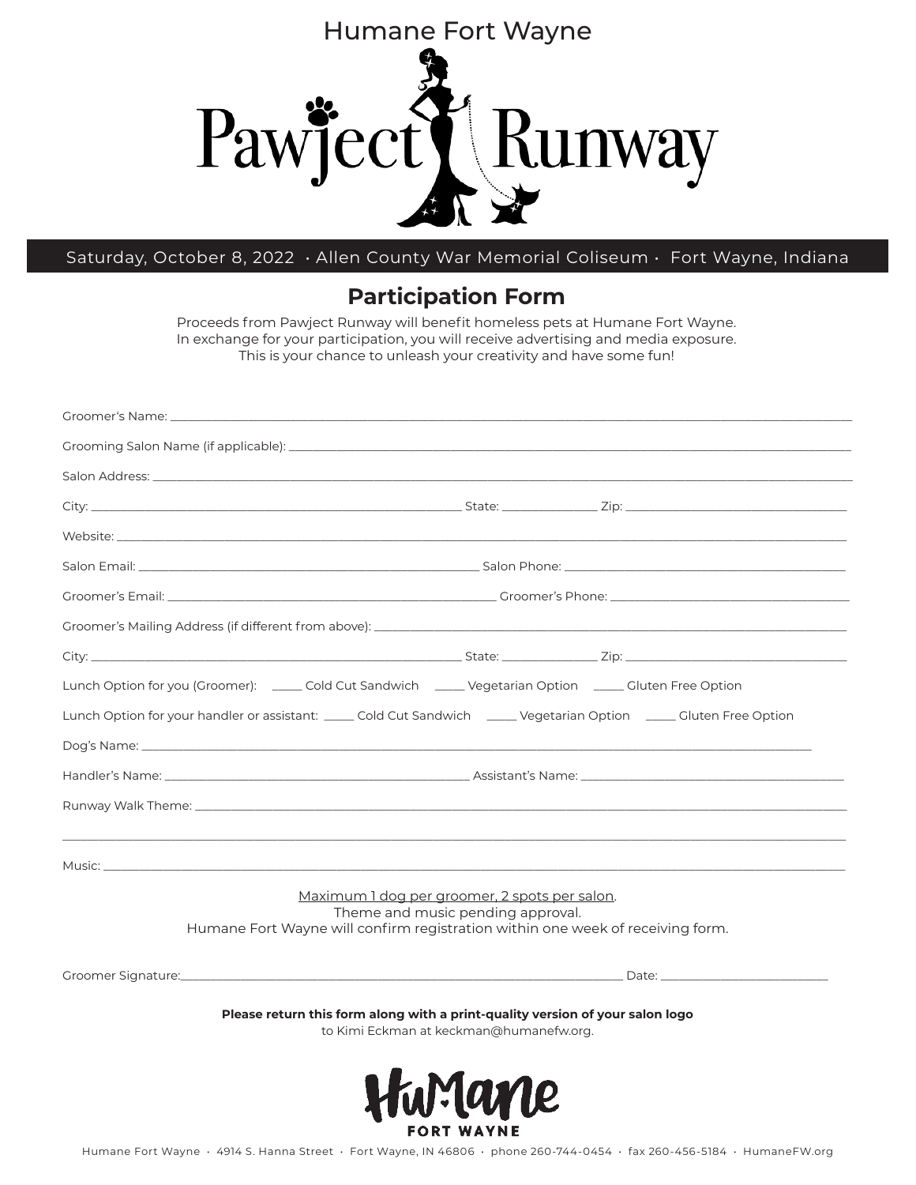

## Saturday, October 8, 2022 • Allen County War Memorial Coliseum • Fort Wayne, Indiana

## **Participation Form**

Proceeds from Pawject Runway will benefit homeless pets at Humane Fort Wayne. In exchange for your participation, you will receive advertising and media exposure. This is your chance to unleash your creativity and have some fun!

| Groomer's Name: _________________________                                                                                                                                                                                      |                                                                                    |  |  |
|--------------------------------------------------------------------------------------------------------------------------------------------------------------------------------------------------------------------------------|------------------------------------------------------------------------------------|--|--|
|                                                                                                                                                                                                                                |                                                                                    |  |  |
|                                                                                                                                                                                                                                |                                                                                    |  |  |
|                                                                                                                                                                                                                                |                                                                                    |  |  |
|                                                                                                                                                                                                                                |                                                                                    |  |  |
|                                                                                                                                                                                                                                |                                                                                    |  |  |
|                                                                                                                                                                                                                                |                                                                                    |  |  |
|                                                                                                                                                                                                                                |                                                                                    |  |  |
|                                                                                                                                                                                                                                |                                                                                    |  |  |
| Lunch Option for you (Groomer): ______ Cold Cut Sandwich ______ Vegetarian Option _____ Gluten Free Option                                                                                                                     |                                                                                    |  |  |
| Lunch Option for your handler or assistant: _____ Cold Cut Sandwich _____ Vegetarian Option _____ Gluten Free Option                                                                                                           |                                                                                    |  |  |
|                                                                                                                                                                                                                                |                                                                                    |  |  |
|                                                                                                                                                                                                                                |                                                                                    |  |  |
|                                                                                                                                                                                                                                |                                                                                    |  |  |
|                                                                                                                                                                                                                                |                                                                                    |  |  |
| Music: New York Contract Contract Contract Contract Contract Contract Contract Contract Contract Contract Contract Contract Contract Contract Contract Contract Contract Contract Contract Contract Contract Contract Contract |                                                                                    |  |  |
| Humane Fort Wayne will confirm registration within one week of receiving form.                                                                                                                                                 | Maximum 1 dog per groomer, 2 spots per salon.<br>Theme and music pending approval. |  |  |
|                                                                                                                                                                                                                                |                                                                                    |  |  |
| Please return this form along with a print-quality version of your salon logo                                                                                                                                                  | to Kimi Eckman at keckman@humanefw.org.                                            |  |  |
|                                                                                                                                                                                                                                | <b>FORT WAYNE</b>                                                                  |  |  |

Humane Fort Wayne • 4914 S. Hanna Street • Fort Wayne, IN 46806 • phone 260-744-0454 • fax 260-456-5184 • HumaneFW.org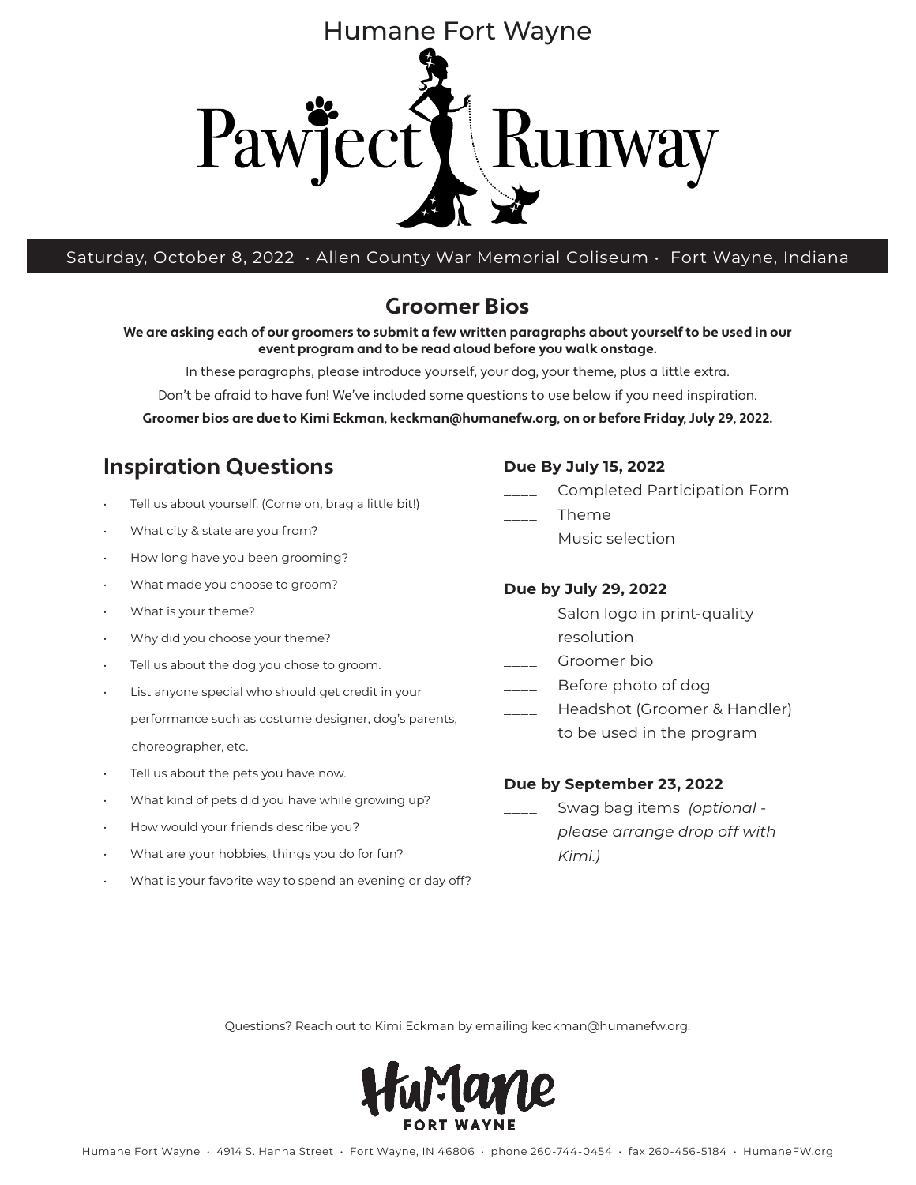

Saturday, October 8, 2022 • Allen County War Memorial Coliseum • Fort Wayne, Indiana

## **Groomer Bios**

**We are asking each of our groomers to submit a few written paragraphs about yourself to be used in our event program and to be read aloud before you walk onstage.** 

In these paragraphs, please introduce yourself, your dog, your theme, plus a little extra.

Don't be afraid to have fun! We've included some questions to use below if you need inspiration.

**Groomer bios are due to Kimi Eckman, keckman@humanefw.org, on or before Friday, July 29, 2022.**

## **Inspiration Questions**

- Tell us about yourself. (Come on, brag a little bit!)
- What city & state are you from?
- How long have you been grooming?
- What made you choose to groom?
- What is your theme?
- Why did you choose your theme?
- Tell us about the dog you chose to groom.
- List anyone special who should get credit in your performance such as costume designer, dog's parents, choreographer, etc.
- Tell us about the pets you have now.
- What kind of pets did you have while growing up?
- How would your friends describe you?
- What are your hobbies, things you do for fun?
- What is your favorite way to spend an evening or day off?

#### **Due By July 15, 2022**

- \_\_\_\_ Completed Participation Form
- \_\_\_\_ Theme
- \_\_\_\_ Music selection

#### **Due by July 29, 2022**

- Salon logo in print-quality
- resolution Groomer bio
- 
- \_\_\_\_ Before photo of dog
- Headshot (Groomer & Handler) to be used in the program

#### **Due by September 23, 2022**

\_\_\_\_ Swag bag items *(optional please arrange drop off with Kimi.)*

Questions? Reach out to Kimi Eckman by emailing keckman@humanefw.org.

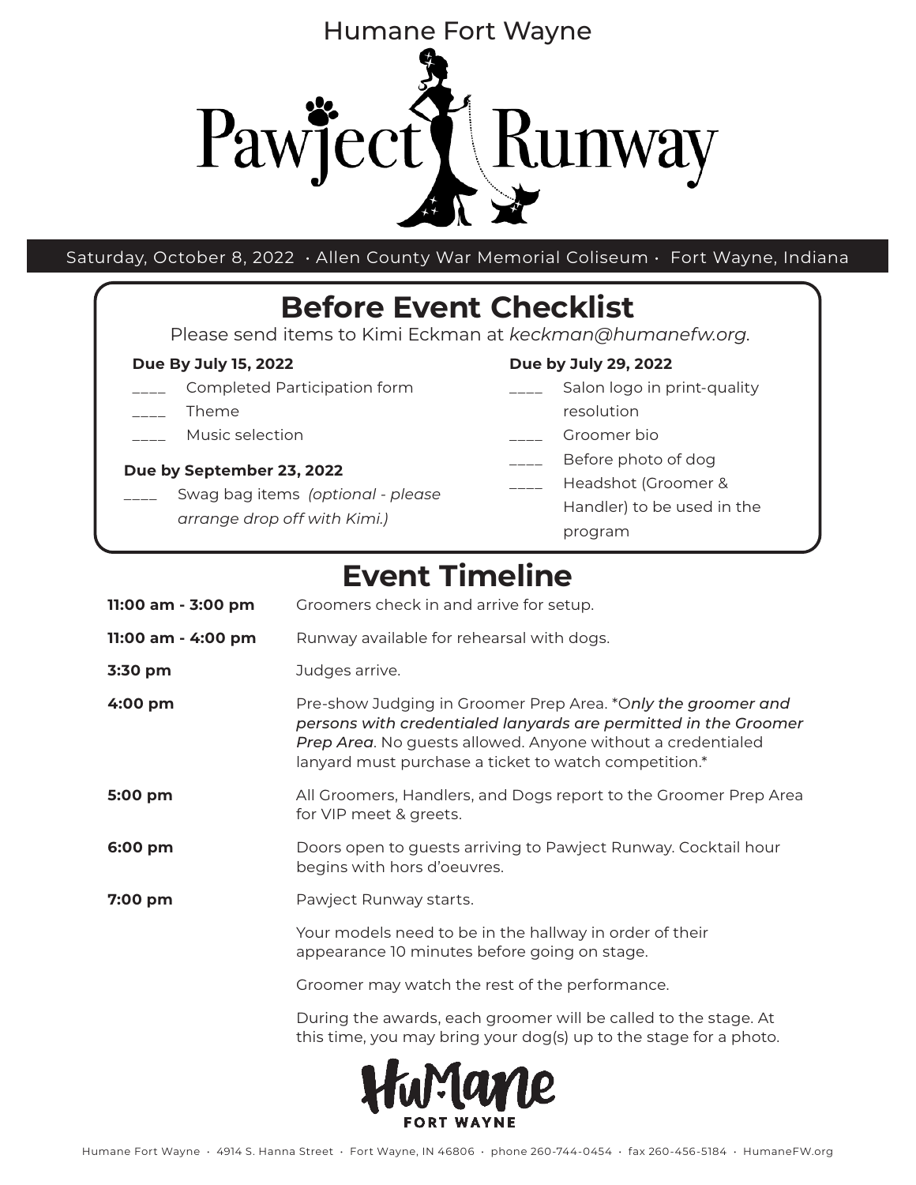

Saturday, October 8, 2022 • Allen County War Memorial Coliseum • Fort Wayne, Indiana

# **Before Event Checklist**

Please send items to Kimi Eckman at *keckman@humanefw.org*.

## **Due By July 15, 2022**

- \_\_\_\_ Completed Participation form
- \_\_\_\_ Theme
- \_\_\_\_ Music selection

## **Due by September 23, 2022**

\_\_\_\_ Swag bag items *(optional - please arrange drop off with Kimi.)*

## **Due by July 29, 2022**

- \_\_\_\_ Salon logo in print-quality resolution
- Groomer bio
- \_\_\_\_ Before photo of dog
	- Headshot (Groomer & Handler) to be used in the program

## **Event Timeline**

| 11:00 am - 3:00 pm | Groomers check in and arrive for setup.                                                                                                                                                                                                                 |  |
|--------------------|---------------------------------------------------------------------------------------------------------------------------------------------------------------------------------------------------------------------------------------------------------|--|
| 11:00 am - 4:00 pm | Runway available for rehearsal with dogs.                                                                                                                                                                                                               |  |
| 3:30 pm            | Judges arrive.                                                                                                                                                                                                                                          |  |
| 4:00 pm            | Pre-show Judging in Groomer Prep Area. *Only the groomer and<br>persons with credentialed lanyards are permitted in the Groomer<br>Prep Area. No guests allowed. Anyone without a credentialed<br>lanyard must purchase a ticket to watch competition.* |  |
| 5:00 pm            | All Groomers, Handlers, and Dogs report to the Groomer Prep Area<br>for VIP meet & greets.                                                                                                                                                              |  |
| 6:00 pm            | Doors open to guests arriving to Pawject Runway. Cocktail hour<br>begins with hors d'oeuvres.                                                                                                                                                           |  |
| $7:00$ pm          | Pawject Runway starts.                                                                                                                                                                                                                                  |  |
|                    | Your models need to be in the hallway in order of their<br>appearance 10 minutes before going on stage.                                                                                                                                                 |  |
|                    | Groomer may watch the rest of the performance.                                                                                                                                                                                                          |  |
|                    | During the awards, each groomer will be called to the stage. At<br>this time, you may bring your dog(s) up to the stage for a photo.                                                                                                                    |  |